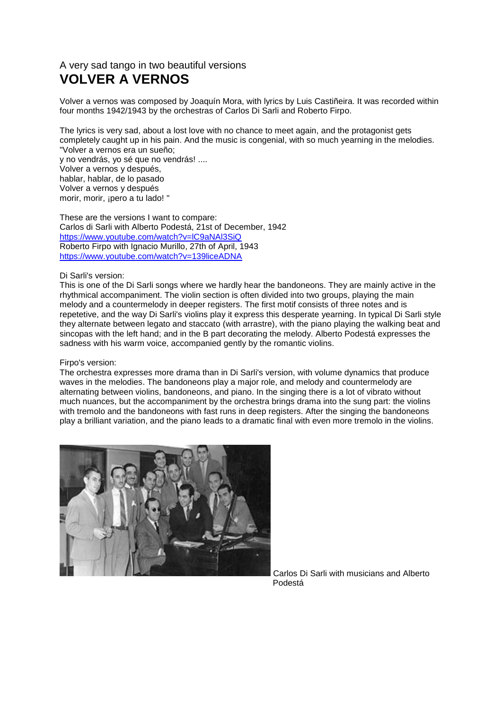## A very sad tango in two beautiful versions **VOLVER A VERNOS**

Volver a vernos was composed by Joaquín Mora, with lyrics by Luis Castiñeira. It was recorded within four months 1942/1943 by the orchestras of Carlos Di Sarli and Roberto Firpo.

The lyrics is very sad, about a lost love with no chance to meet again, and the protagonist gets completely caught up in his pain. And the music is congenial, with so much yearning in the melodies. "Volver a vernos era un sueño;

y no vendrás, yo sé que no vendrás! .... Volver a vernos y después, hablar, hablar, de lo pasado Volver a vernos y después morir, morir, ¡pero a tu lado! "

These are the versions I want to compare: Carlos di Sarli with Alberto Podestá, 21st of December, 1942 <https://www.youtube.com/watch?v=lC9aNAl3SiQ> Roberto Firpo with Ignacio Murillo, 27th of April, 1943 <https://www.youtube.com/watch?v=139liceADNA>

## Di Sarli's version:

This is one of the Di Sarli songs where we hardly hear the bandoneons. They are mainly active in the rhythmical accompaniment. The violin section is often divided into two groups, playing the main melody and a countermelody in deeper registers. The first motif consists of three notes and is repetetive, and the way Di Sarli's violins play it express this desperate yearning. In typical Di Sarli style they alternate between legato and staccato (with arrastre), with the piano playing the walking beat and sincopas with the left hand; and in the B part decorating the melody. Alberto Podestá expresses the sadness with his warm voice, accompanied gently by the romantic violins.

## Firpo's version:

The orchestra expresses more drama than in Di Sarli's version, with volume dynamics that produce waves in the melodies. The bandoneons play a major role, and melody and countermelody are alternating between violins, bandoneons, and piano. In the singing there is a lot of vibrato without much nuances, but the accompaniment by the orchestra brings drama into the sung part: the violins with tremolo and the bandoneons with fast runs in deep registers. After the singing the bandoneons play a brilliant variation, and the piano leads to a dramatic final with even more tremolo in the violins.



Carlos Di Sarli with musicians and Alberto e de la provincia de la provincia de la provincia de la provincia de la provincia de la provincia de la provinci